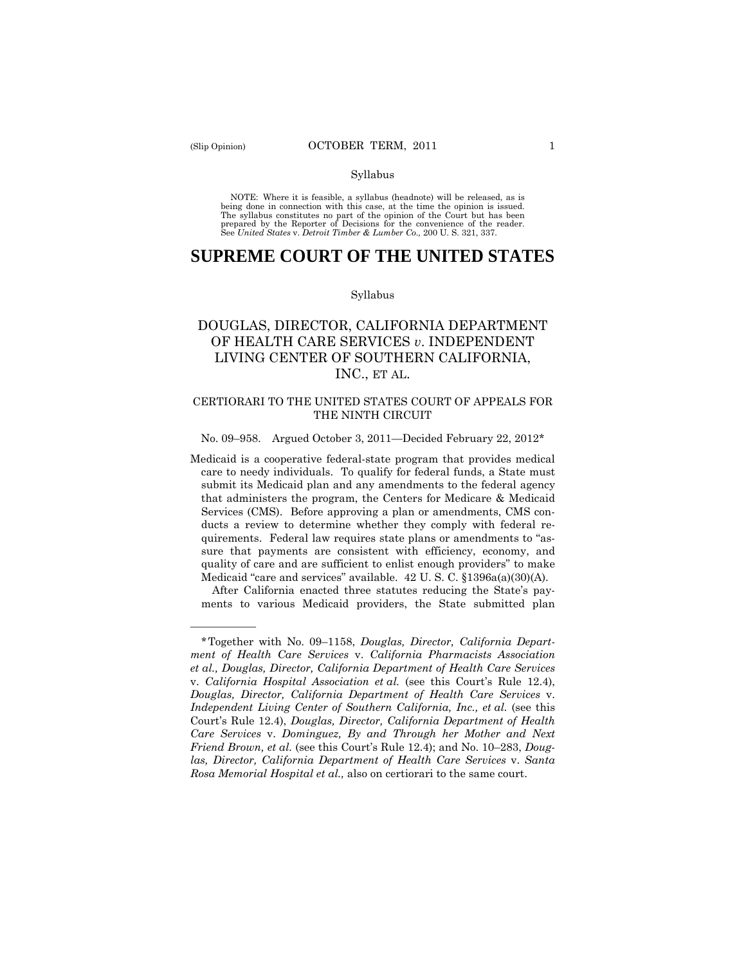——————

#### Syllabus

 NOTE: Where it is feasible, a syllabus (headnote) will be released, as is being done in connection with this case, at the time the opinion is issued. The syllabus constitutes no part of the opinion of the Court but has been<br>prepared by the Reporter of Decisions for the convenience of the reader.<br>See United States v. Detroit Timber & Lumber Co., 200 U.S. 321, 337.

# **SUPREME COURT OF THE UNITED STATES**

#### Syllabus

# DOUGLAS, DIRECTOR, CALIFORNIA DEPARTMENT OF HEALTH CARE SERVICES *v*. INDEPENDENT LIVING CENTER OF SOUTHERN CALIFORNIA, INC., ET AL.

#### CERTIORARI TO THE UNITED STATES COURT OF APPEALS FOR THE NINTH CIRCUIT

#### No. 09–958. Argued October 3, 2011—Decided February 22, 2012\*

Medicaid is a cooperative federal-state program that provides medical care to needy individuals. To qualify for federal funds, a State must submit its Medicaid plan and any amendments to the federal agency that administers the program, the Centers for Medicare & Medicaid Services (CMS). Before approving a plan or amendments, CMS conducts a review to determine whether they comply with federal requirements. Federal law requires state plans or amendments to "assure that payments are consistent with efficiency, economy, and quality of care and are sufficient to enlist enough providers" to make Medicaid "care and services" available. 42 U. S. C. §1396a(a)(30)(A).

After California enacted three statutes reducing the State's payments to various Medicaid providers, the State submitted plan

<sup>\*</sup>Together with No. 09–1158, *Douglas, Director, California Department of Health Care Services* v. *California Pharmacists Association et al., Douglas, Director, California Department of Health Care Services*  v. *California Hospital Association et al.* (see this Court's Rule 12.4), *Douglas, Director, California Department of Health Care Services* v. *Independent Living Center of Southern California, Inc., et al.* (see this Court's Rule 12.4), *Douglas, Director, California Department of Health Care Services* v. *Dominguez, By and Through her Mother and Next Friend Brown, et al.* (see this Court's Rule 12.4); and No. 10–283, *Douglas, Director, California Department of Health Care Services* v. *Santa Rosa Memorial Hospital et al.,* also on certiorari to the same court.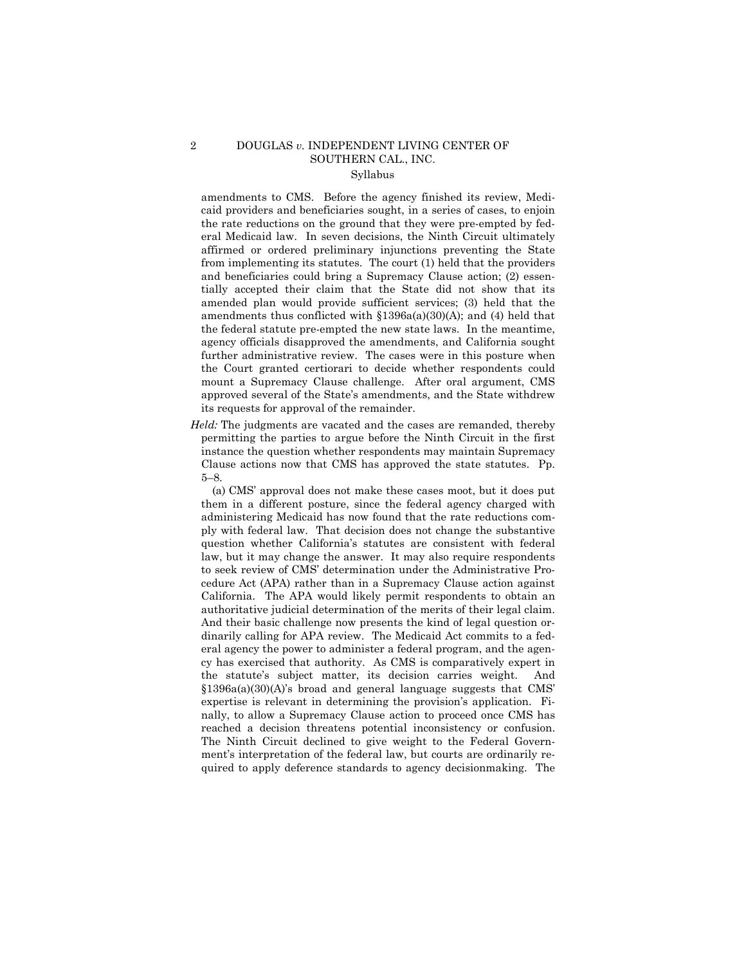# 2 DOUGLAS *v.* INDEPENDENT LIVING CENTER OF SOUTHERN CAL., INC.

# Syllabus

amendments to CMS. Before the agency finished its review, Medicaid providers and beneficiaries sought, in a series of cases, to enjoin the rate reductions on the ground that they were pre-empted by federal Medicaid law. In seven decisions, the Ninth Circuit ultimately affirmed or ordered preliminary injunctions preventing the State from implementing its statutes. The court (1) held that the providers and beneficiaries could bring a Supremacy Clause action; (2) essentially accepted their claim that the State did not show that its amended plan would provide sufficient services; (3) held that the amendments thus conflicted with §1396a(a)(30)(A); and (4) held that the federal statute pre-empted the new state laws. In the meantime, agency officials disapproved the amendments, and California sought further administrative review. The cases were in this posture when the Court granted certiorari to decide whether respondents could mount a Supremacy Clause challenge. After oral argument, CMS approved several of the State's amendments, and the State withdrew its requests for approval of the remainder.

*Held:* The judgments are vacated and the cases are remanded, thereby permitting the parties to argue before the Ninth Circuit in the first instance the question whether respondents may maintain Supremacy Clause actions now that CMS has approved the state statutes. Pp. 5–8.

 authoritative judicial determination of the merits of their legal claim. reached a decision threatens potential inconsistency or confusion. (a) CMS' approval does not make these cases moot, but it does put them in a different posture, since the federal agency charged with administering Medicaid has now found that the rate reductions comply with federal law. That decision does not change the substantive question whether California's statutes are consistent with federal law, but it may change the answer. It may also require respondents to seek review of CMS' determination under the Administrative Procedure Act (APA) rather than in a Supremacy Clause action against California. The APA would likely permit respondents to obtain an And their basic challenge now presents the kind of legal question ordinarily calling for APA review. The Medicaid Act commits to a federal agency the power to administer a federal program, and the agency has exercised that authority. As CMS is comparatively expert in the statute's subject matter, its decision carries weight. And §1396a(a)(30)(A)'s broad and general language suggests that CMS' expertise is relevant in determining the provision's application. Finally, to allow a Supremacy Clause action to proceed once CMS has The Ninth Circuit declined to give weight to the Federal Government's interpretation of the federal law, but courts are ordinarily required to apply deference standards to agency decisionmaking. The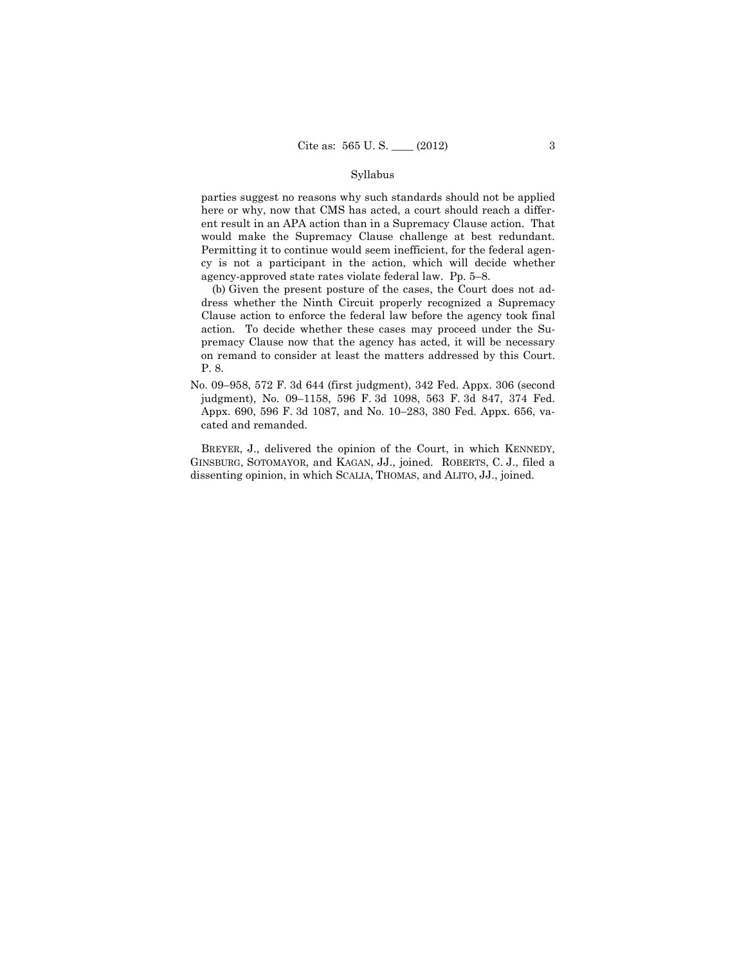#### Syllabus

would make the Supremacy Clause challenge at best redundant. parties suggest no reasons why such standards should not be applied here or why, now that CMS has acted, a court should reach a different result in an APA action than in a Supremacy Clause action. That Permitting it to continue would seem inefficient, for the federal agency is not a participant in the action, which will decide whether agency-approved state rates violate federal law. Pp. 5–8.

(b) Given the present posture of the cases, the Court does not address whether the Ninth Circuit properly recognized a Supremacy Clause action to enforce the federal law before the agency took final action. To decide whether these cases may proceed under the Supremacy Clause now that the agency has acted, it will be necessary on remand to consider at least the matters addressed by this Court. P. 8.

No. 09–958, 572 F. 3d 644 (first judgment), 342 Fed. Appx. 306 (second judgment), No. 09–1158, 596 F. 3d 1098, 563 F. 3d 847, 374 Fed. Appx. 690, 596 F. 3d 1087, and No. 10–283, 380 Fed. Appx. 656, vacated and remanded.

BREYER, J., delivered the opinion of the Court, in which KENNEDY, GINSBURG, SOTOMAYOR, and KAGAN, JJ., joined. ROBERTS, C. J., filed a dissenting opinion, in which SCALIA, THOMAS, and ALITO, JJ., joined.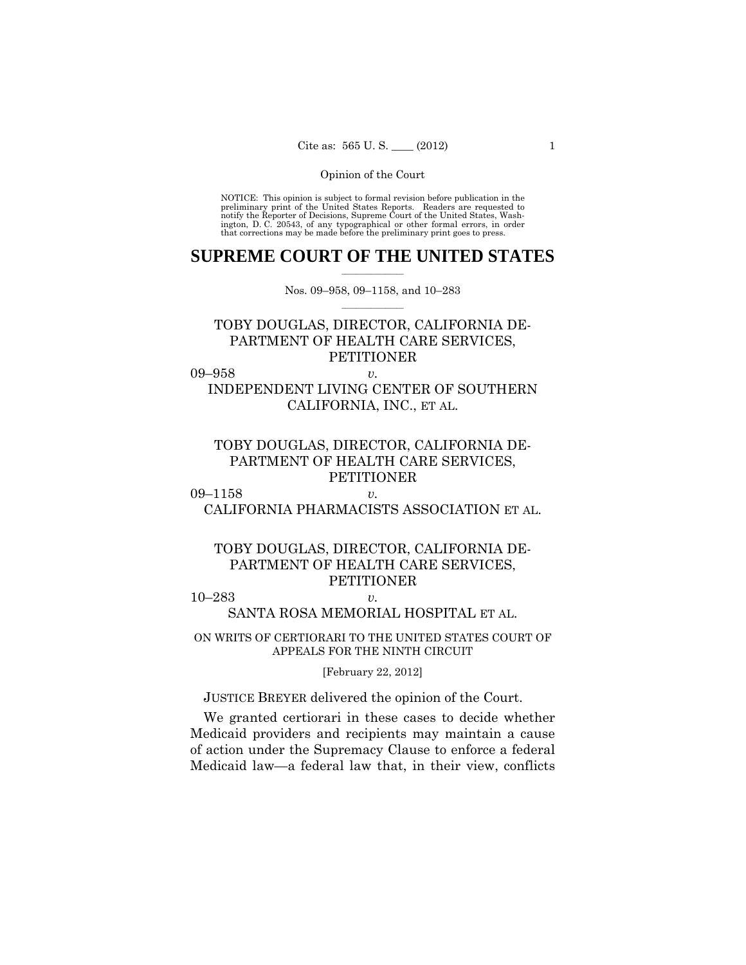preliminary print of the United States Reports. Readers are requested to notify the Reporter of Decisions, Supreme Court of the United States, Wash- ington, D. C. 20543, of any typographical or other formal errors, in order that corrections may be made before the preliminary print goes to press. NOTICE: This opinion is subject to formal revision before publication in the

### $\frac{1}{2}$  , where  $\frac{1}{2}$ **SUPREME COURT OF THE UNITED STATES**

 $\frac{1}{2}$  ,  $\frac{1}{2}$  ,  $\frac{1}{2}$  ,  $\frac{1}{2}$  ,  $\frac{1}{2}$  ,  $\frac{1}{2}$ Nos. 09–958, 09–1158, and 10–283

# TOBY DOUGLAS, DIRECTOR, CALIFORNIA DE-PARTMENT OF HEALTH CARE SERVICES, PETITIONER

09–958 *v.* 

# INDEPENDENT LIVING CENTER OF SOUTHERN CALIFORNIA, INC., ET AL.

# TOBY DOUGLAS, DIRECTOR, CALIFORNIA DE-PARTMENT OF HEALTH CARE SERVICES, **PETITIONER**

09–1158 *v.*  CALIFORNIA PHARMACISTS ASSOCIATION ET AL.

# TOBY DOUGLAS, DIRECTOR, CALIFORNIA DE-PARTMENT OF HEALTH CARE SERVICES, PETITIONER

10–283 *v.* 

# SANTA ROSA MEMORIAL HOSPITAL ET AL.

ON WRITS OF CERTIORARI TO THE UNITED STATES COURT OF APPEALS FOR THE NINTH CIRCUIT

[February 22, 2012]

JUSTICE BREYER delivered the opinion of the Court.

We granted certiorari in these cases to decide whether Medicaid providers and recipients may maintain a cause of action under the Supremacy Clause to enforce a federal Medicaid law—a federal law that, in their view, conflicts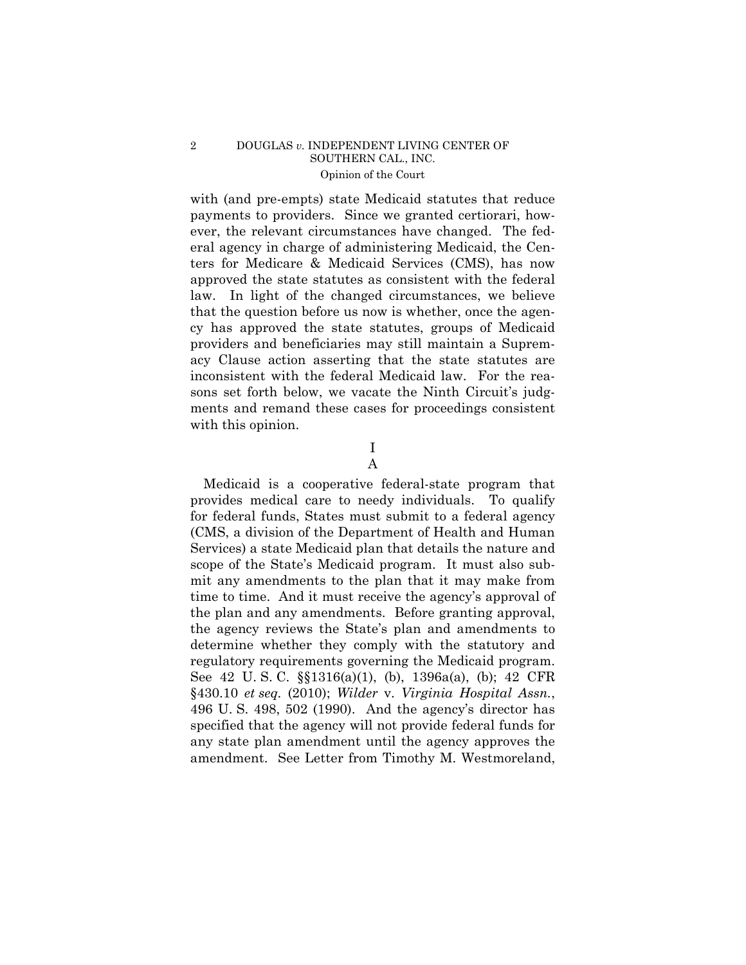with (and pre-empts) state Medicaid statutes that reduce payments to providers. Since we granted certiorari, however, the relevant circumstances have changed. The federal agency in charge of administering Medicaid, the Centers for Medicare & Medicaid Services (CMS), has now approved the state statutes as consistent with the federal law. In light of the changed circumstances, we believe that the question before us now is whether, once the agency has approved the state statutes, groups of Medicaid providers and beneficiaries may still maintain a Supremacy Clause action asserting that the state statutes are inconsistent with the federal Medicaid law. For the reasons set forth below, we vacate the Ninth Circuit's judgments and remand these cases for proceedings consistent with this opinion.

> I A

Medicaid is a cooperative federal-state program that provides medical care to needy individuals. To qualify for federal funds, States must submit to a federal agency (CMS, a division of the Department of Health and Human Services) a state Medicaid plan that details the nature and scope of the State's Medicaid program. It must also submit any amendments to the plan that it may make from time to time. And it must receive the agency's approval of the plan and any amendments. Before granting approval, the agency reviews the State's plan and amendments to determine whether they comply with the statutory and regulatory requirements governing the Medicaid program. See 42 U. S. C. §§1316(a)(1), (b), 1396a(a), (b); 42 CFR §430.10 *et seq.* (2010); *Wilder* v. *Virginia Hospital Assn.*, 496 U. S. 498, 502 (1990). And the agency's director has specified that the agency will not provide federal funds for any state plan amendment until the agency approves the amendment. See Letter from Timothy M. Westmoreland,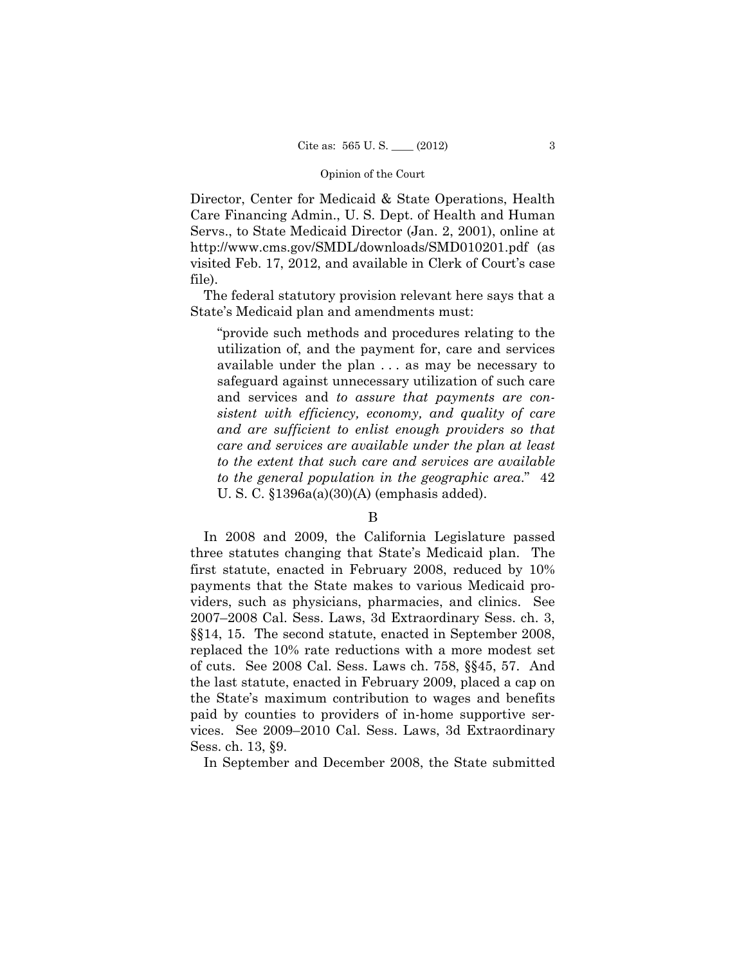Director, Center for Medicaid & State Operations, Health Care Financing Admin., U. S. Dept. of Health and Human Servs., to State Medicaid Director (Jan. 2, 2001), online at http://www.cms.gov/SMDL/downloads/SMD010201.pdf (as visited Feb. 17, 2012, and available in Clerk of Court's case file).

The federal statutory provision relevant here says that a State's Medicaid plan and amendments must:

"provide such methods and procedures relating to the utilization of, and the payment for, care and services available under the plan . . . as may be necessary to safeguard against unnecessary utilization of such care and services and *to assure that payments are consistent with efficiency, economy, and quality of care and are sufficient to enlist enough providers so that care and services are available under the plan at least to the extent that such care and services are available to the general population in the geographic area*." 42 U. S. C. §1396a(a)(30)(A) (emphasis added).

# B

In 2008 and 2009, the California Legislature passed three statutes changing that State's Medicaid plan. The first statute, enacted in February 2008, reduced by 10% payments that the State makes to various Medicaid providers, such as physicians, pharmacies, and clinics. See 2007–2008 Cal. Sess. Laws, 3d Extraordinary Sess. ch. 3, §§14, 15. The second statute, enacted in September 2008, replaced the 10% rate reductions with a more modest set of cuts. See 2008 Cal. Sess. Laws ch. 758, §§45, 57. And the last statute, enacted in February 2009, placed a cap on the State's maximum contribution to wages and benefits paid by counties to providers of in-home supportive services. See 2009–2010 Cal. Sess. Laws, 3d Extraordinary Sess. ch. 13, §9.

In September and December 2008, the State submitted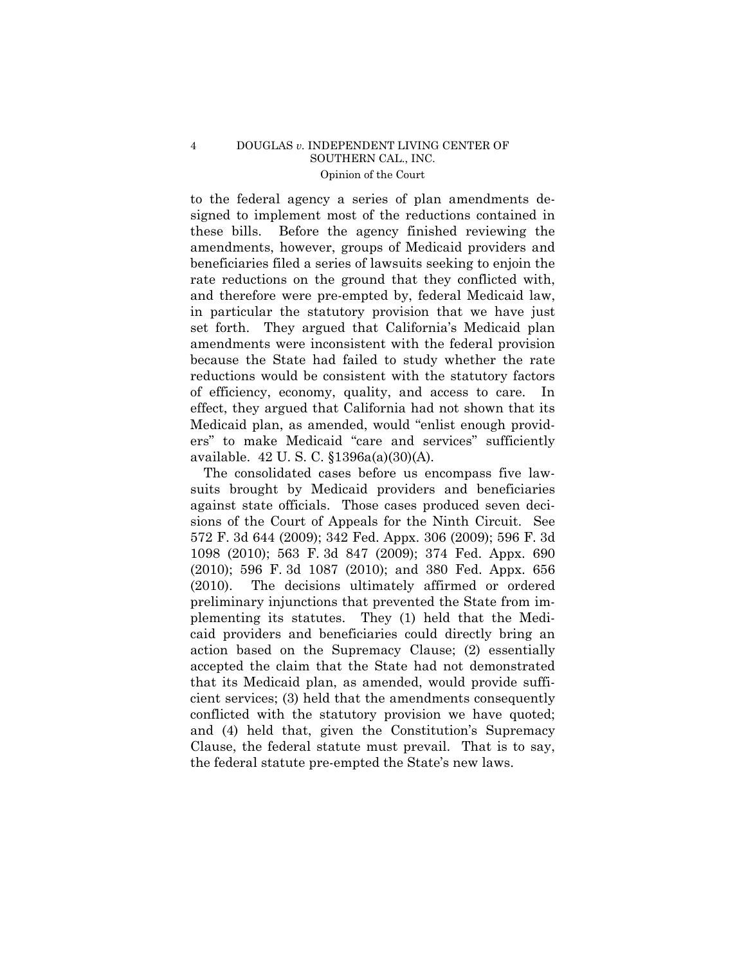to the federal agency a series of plan amendments designed to implement most of the reductions contained in these bills. Before the agency finished reviewing the amendments, however, groups of Medicaid providers and beneficiaries filed a series of lawsuits seeking to enjoin the rate reductions on the ground that they conflicted with, and therefore were pre-empted by, federal Medicaid law, in particular the statutory provision that we have just set forth. They argued that California's Medicaid plan amendments were inconsistent with the federal provision because the State had failed to study whether the rate reductions would be consistent with the statutory factors of efficiency, economy, quality, and access to care. In effect, they argued that California had not shown that its Medicaid plan, as amended, would "enlist enough providers" to make Medicaid "care and services" sufficiently available. 42 U. S. C. §1396a(a)(30)(A).

The consolidated cases before us encompass five lawsuits brought by Medicaid providers and beneficiaries against state officials. Those cases produced seven decisions of the Court of Appeals for the Ninth Circuit. See 572 F. 3d 644 (2009); 342 Fed. Appx. 306 (2009); 596 F. 3d 1098 (2010); 563 F. 3d 847 (2009); 374 Fed. Appx. 690 (2010); 596 F. 3d 1087 (2010); and 380 Fed. Appx. 656 (2010). The decisions ultimately affirmed or ordered preliminary injunctions that prevented the State from implementing its statutes. They (1) held that the Medicaid providers and beneficiaries could directly bring an action based on the Supremacy Clause; (2) essentially accepted the claim that the State had not demonstrated that its Medicaid plan, as amended, would provide sufficient services; (3) held that the amendments consequently conflicted with the statutory provision we have quoted; and (4) held that, given the Constitution's Supremacy Clause, the federal statute must prevail. That is to say, the federal statute pre-empted the State's new laws.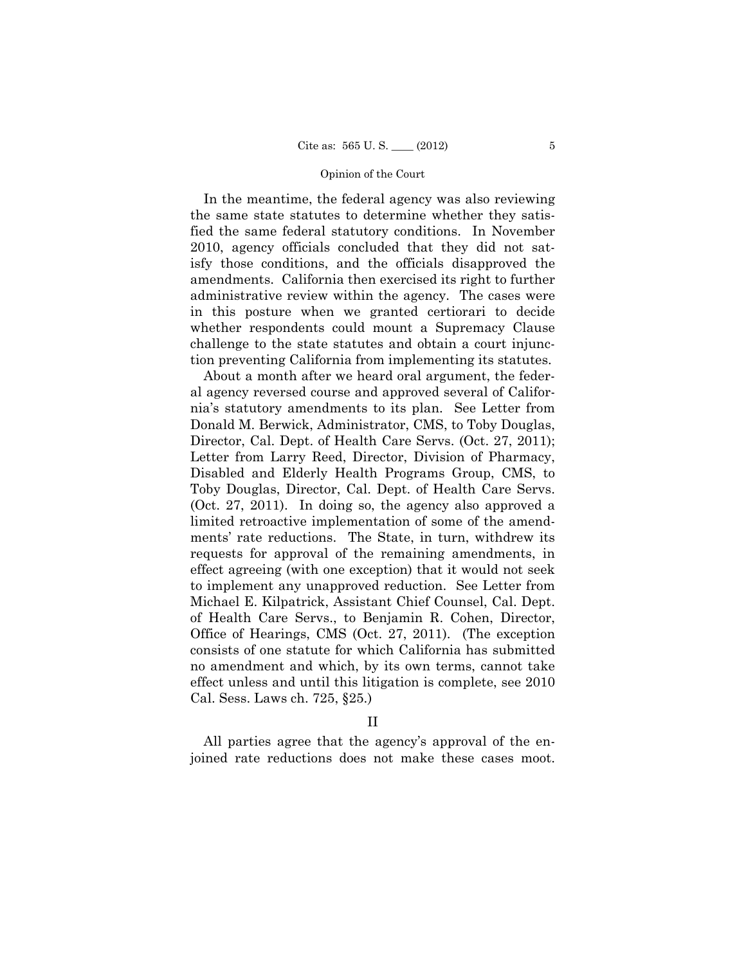In the meantime, the federal agency was also reviewing the same state statutes to determine whether they satisfied the same federal statutory conditions. In November 2010, agency officials concluded that they did not satisfy those conditions, and the officials disapproved the amendments. California then exercised its right to further administrative review within the agency. The cases were in this posture when we granted certiorari to decide whether respondents could mount a Supremacy Clause challenge to the state statutes and obtain a court injunction preventing California from implementing its statutes.

About a month after we heard oral argument, the federal agency reversed course and approved several of California's statutory amendments to its plan. See Letter from Donald M. Berwick, Administrator, CMS, to Toby Douglas, Director, Cal. Dept. of Health Care Servs. (Oct. 27, 2011); Letter from Larry Reed, Director, Division of Pharmacy, Disabled and Elderly Health Programs Group, CMS, to Toby Douglas, Director, Cal. Dept. of Health Care Servs. (Oct. 27, 2011). In doing so, the agency also approved a limited retroactive implementation of some of the amendments' rate reductions. The State, in turn, withdrew its requests for approval of the remaining amendments, in effect agreeing (with one exception) that it would not seek to implement any unapproved reduction. See Letter from Michael E. Kilpatrick, Assistant Chief Counsel, Cal. Dept. of Health Care Servs., to Benjamin R. Cohen, Director, Office of Hearings, CMS (Oct. 27, 2011). (The exception consists of one statute for which California has submitted no amendment and which, by its own terms, cannot take effect unless and until this litigation is complete, see 2010 Cal. Sess. Laws ch. 725, §25.)

### II

All parties agree that the agency's approval of the enjoined rate reductions does not make these cases moot.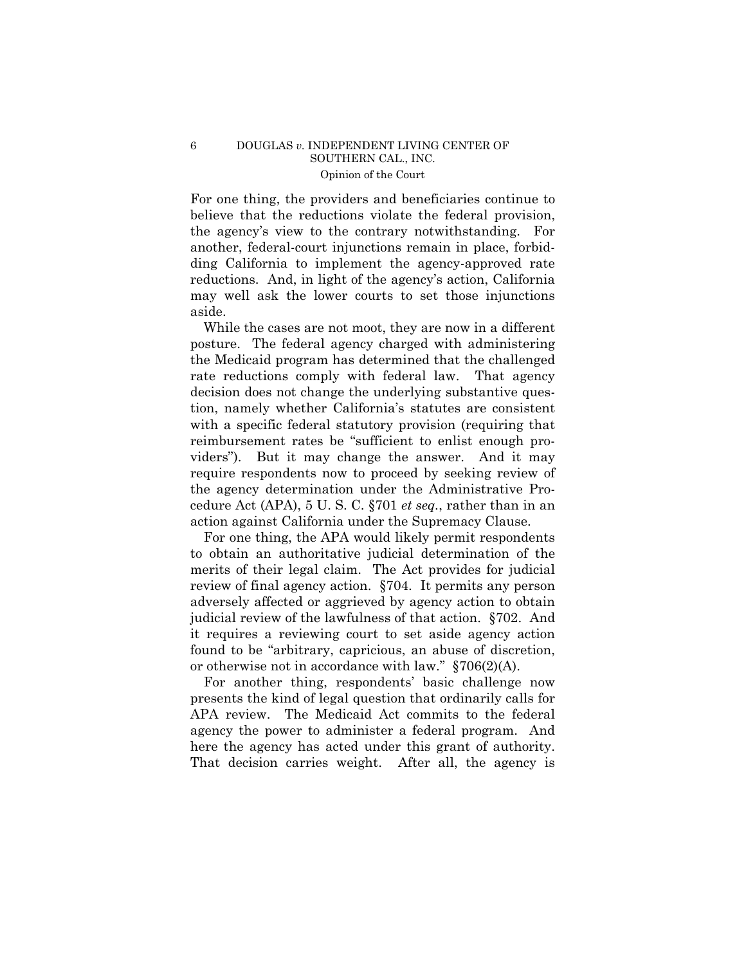For one thing, the providers and beneficiaries continue to believe that the reductions violate the federal provision, the agency's view to the contrary notwithstanding. For another, federal-court injunctions remain in place, forbidding California to implement the agency-approved rate reductions. And, in light of the agency's action, California may well ask the lower courts to set those injunctions aside.

While the cases are not moot, they are now in a different posture. The federal agency charged with administering the Medicaid program has determined that the challenged rate reductions comply with federal law. That agency decision does not change the underlying substantive question, namely whether California's statutes are consistent with a specific federal statutory provision (requiring that reimbursement rates be "sufficient to enlist enough providers"). But it may change the answer. And it may require respondents now to proceed by seeking review of the agency determination under the Administrative Procedure Act (APA), 5 U. S. C. §701 *et seq.*, rather than in an action against California under the Supremacy Clause.

For one thing, the APA would likely permit respondents to obtain an authoritative judicial determination of the merits of their legal claim. The Act provides for judicial review of final agency action. §704. It permits any person adversely affected or aggrieved by agency action to obtain judicial review of the lawfulness of that action. §702. And it requires a reviewing court to set aside agency action found to be "arbitrary, capricious, an abuse of discretion, or otherwise not in accordance with law." §706(2)(A).

For another thing, respondents' basic challenge now presents the kind of legal question that ordinarily calls for APA review. The Medicaid Act commits to the federal agency the power to administer a federal program. And here the agency has acted under this grant of authority. That decision carries weight. After all, the agency is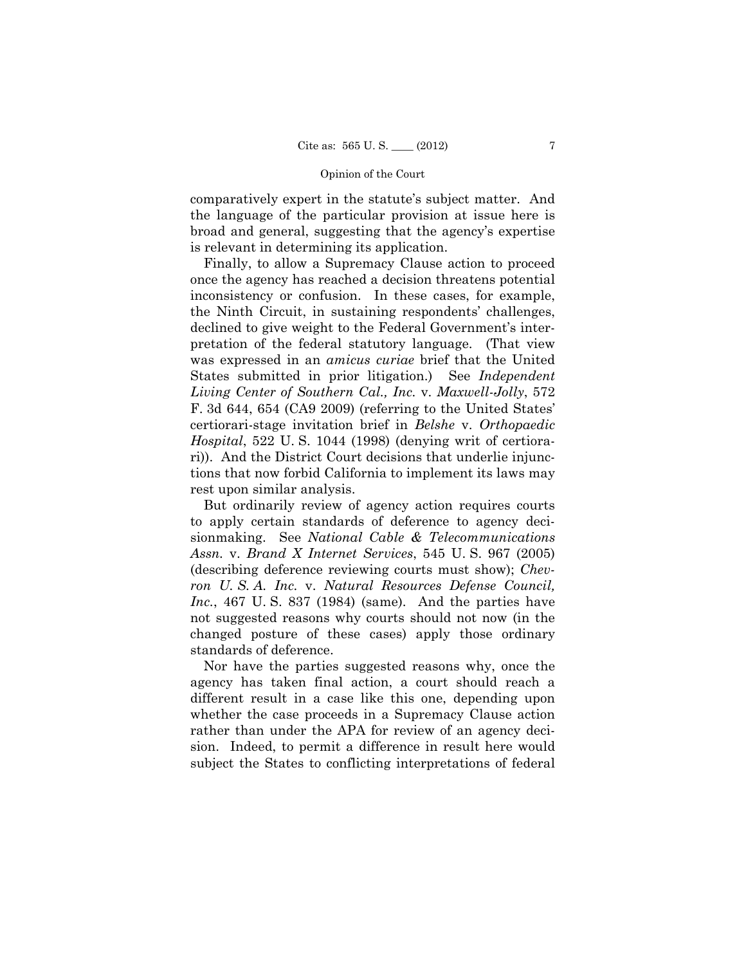comparatively expert in the statute's subject matter. And the language of the particular provision at issue here is broad and general, suggesting that the agency's expertise is relevant in determining its application.

Finally, to allow a Supremacy Clause action to proceed once the agency has reached a decision threatens potential inconsistency or confusion. In these cases, for example, the Ninth Circuit, in sustaining respondents' challenges, declined to give weight to the Federal Government's interpretation of the federal statutory language. (That view was expressed in an *amicus curiae* brief that the United States submitted in prior litigation.) See *Independent Living Center of Southern Cal., Inc.* v. *Maxwell-Jolly*, 572 F. 3d 644, 654 (CA9 2009) (referring to the United States' certiorari-stage invitation brief in *Belshe* v. *Orthopaedic Hospital*, 522 U. S. 1044 (1998) (denying writ of certiorari)). And the District Court decisions that underlie injunctions that now forbid California to implement its laws may rest upon similar analysis.

But ordinarily review of agency action requires courts to apply certain standards of deference to agency decisionmaking. See *National Cable & Telecommunications Assn.* v. *Brand X Internet Services*, 545 U. S. 967 (2005) (describing deference reviewing courts must show); *Chevron U. S. A. Inc.* v. *Natural Resources Defense Council, Inc.*, 467 U. S. 837 (1984) (same). And the parties have not suggested reasons why courts should not now (in the changed posture of these cases) apply those ordinary standards of deference.

Nor have the parties suggested reasons why, once the agency has taken final action, a court should reach a different result in a case like this one, depending upon whether the case proceeds in a Supremacy Clause action rather than under the APA for review of an agency decision. Indeed, to permit a difference in result here would subject the States to conflicting interpretations of federal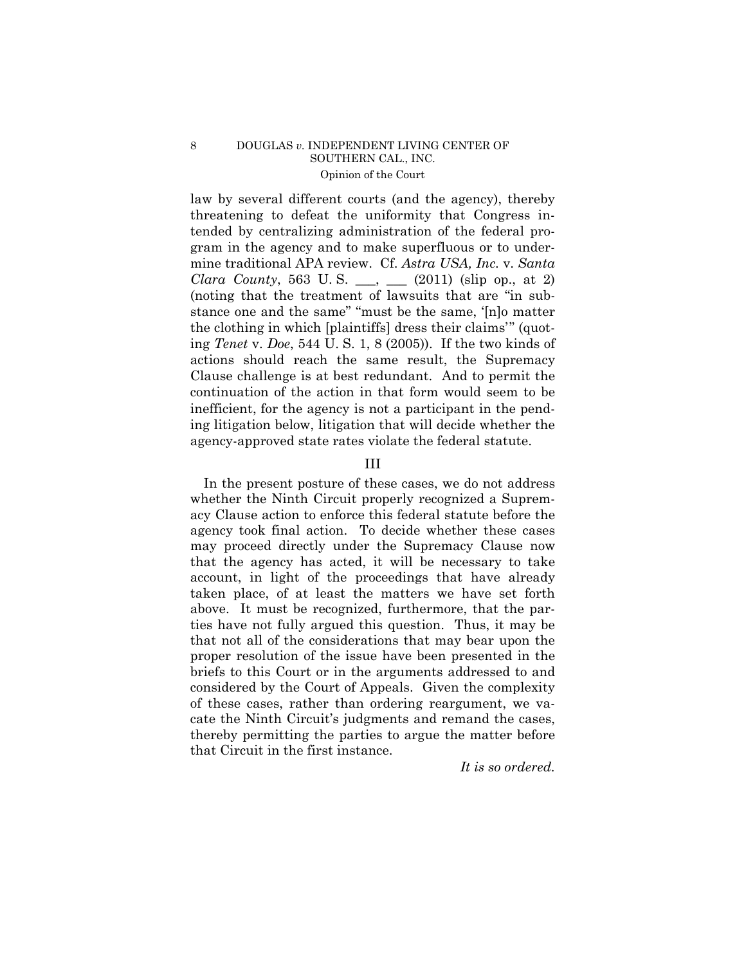law by several different courts (and the agency), thereby threatening to defeat the uniformity that Congress intended by centralizing administration of the federal program in the agency and to make superfluous or to undermine traditional APA review. Cf. *Astra USA, Inc.* v. *Santa Clara County*, 563 U.S. \_\_, \_\_ (2011) (slip op., at 2) (noting that the treatment of lawsuits that are "in substance one and the same" "must be the same, '[n]o matter the clothing in which [plaintiffs] dress their claims'" (quoting *Tenet* v. *Doe*, 544 U. S. 1, 8 (2005)). If the two kinds of actions should reach the same result, the Supremacy Clause challenge is at best redundant. And to permit the continuation of the action in that form would seem to be inefficient, for the agency is not a participant in the pending litigation below, litigation that will decide whether the agency-approved state rates violate the federal statute.

## III

In the present posture of these cases, we do not address whether the Ninth Circuit properly recognized a Supremacy Clause action to enforce this federal statute before the agency took final action. To decide whether these cases may proceed directly under the Supremacy Clause now that the agency has acted, it will be necessary to take account, in light of the proceedings that have already taken place, of at least the matters we have set forth above. It must be recognized, furthermore, that the parties have not fully argued this question. Thus, it may be that not all of the considerations that may bear upon the proper resolution of the issue have been presented in the briefs to this Court or in the arguments addressed to and considered by the Court of Appeals. Given the complexity of these cases, rather than ordering reargument, we vacate the Ninth Circuit's judgments and remand the cases, thereby permitting the parties to argue the matter before that Circuit in the first instance.

*It is so ordered.*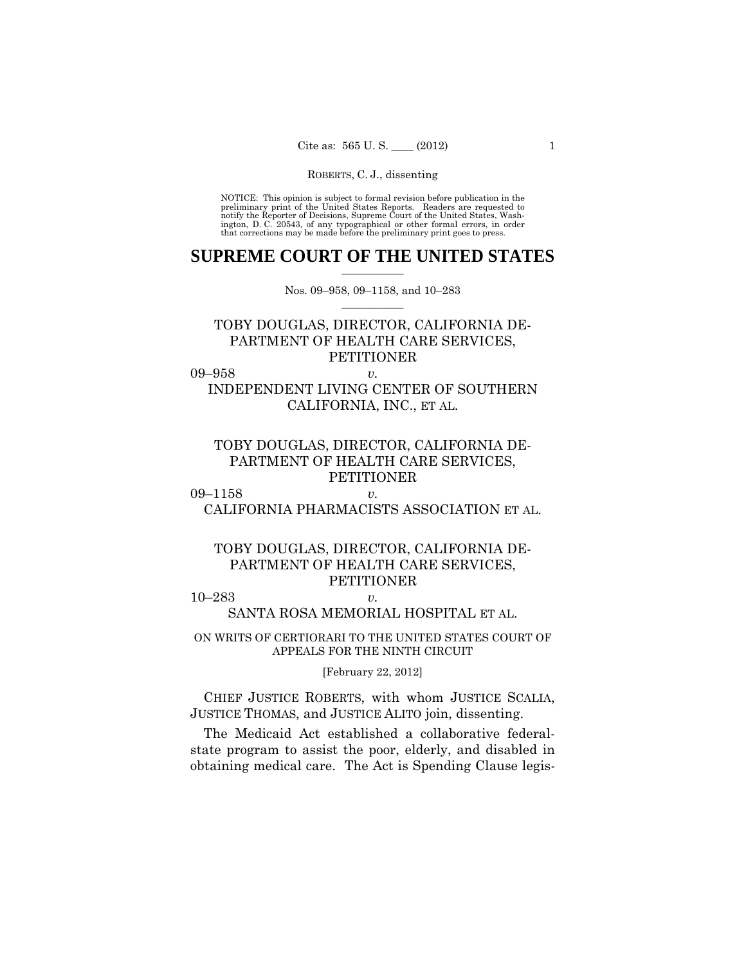preliminary print of the United States Reports. Readers are requested to notify the Reporter of Decisions, Supreme Court of the United States, Wash- ington, D. C. 20543, of any typographical or other formal errors, in order that corrections may be made before the preliminary print goes to press. NOTICE: This opinion is subject to formal revision before publication in the

### $\frac{1}{2}$  , where  $\frac{1}{2}$ **SUPREME COURT OF THE UNITED STATES**

 $\frac{1}{2}$  ,  $\frac{1}{2}$  ,  $\frac{1}{2}$  ,  $\frac{1}{2}$  ,  $\frac{1}{2}$  ,  $\frac{1}{2}$ Nos. 09–958, 09–1158, and 10–283

# TOBY DOUGLAS, DIRECTOR, CALIFORNIA DE-PARTMENT OF HEALTH CARE SERVICES, PETITIONER

09–958 *v.* 

INDEPENDENT LIVING CENTER OF SOUTHERN CALIFORNIA, INC., ET AL.

# TOBY DOUGLAS, DIRECTOR, CALIFORNIA DE-PARTMENT OF HEALTH CARE SERVICES, **PETITIONER**

09–1158 *v.*  CALIFORNIA PHARMACISTS ASSOCIATION ET AL.

# TOBY DOUGLAS, DIRECTOR, CALIFORNIA DE-PARTMENT OF HEALTH CARE SERVICES, PETITIONER

10–283 *v.* 

SANTA ROSA MEMORIAL HOSPITAL ET AL.

ON WRITS OF CERTIORARI TO THE UNITED STATES COURT OF APPEALS FOR THE NINTH CIRCUIT

[February 22, 2012]

 CHIEF JUSTICE ROBERTS, with whom JUSTICE SCALIA, JUSTICE THOMAS, and JUSTICE ALITO join, dissenting.

The Medicaid Act established a collaborative federalstate program to assist the poor, elderly, and disabled in obtaining medical care. The Act is Spending Clause legis-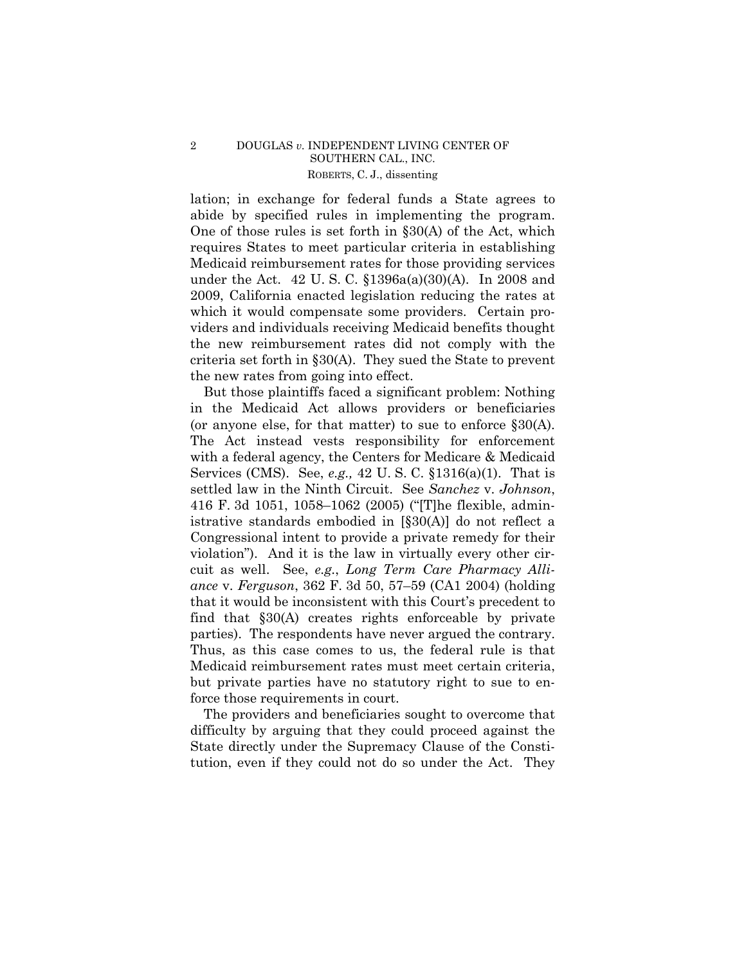## ROBERTS, C. J., dissenting 2 DOUGLAS *v.* INDEPENDENT LIVING CENTER OF SOUTHERN CAL., INC.

lation; in exchange for federal funds a State agrees to abide by specified rules in implementing the program. One of those rules is set forth in §30(A) of the Act, which requires States to meet particular criteria in establishing Medicaid reimbursement rates for those providing services under the Act. 42 U. S. C. §1396a(a)(30)(A). In 2008 and 2009, California enacted legislation reducing the rates at which it would compensate some providers. Certain providers and individuals receiving Medicaid benefits thought the new reimbursement rates did not comply with the criteria set forth in §30(A). They sued the State to prevent the new rates from going into effect.

But those plaintiffs faced a significant problem: Nothing in the Medicaid Act allows providers or beneficiaries (or anyone else, for that matter) to sue to enforce §30(A). The Act instead vests responsibility for enforcement with a federal agency, the Centers for Medicare & Medicaid Services (CMS). See, *e.g.,* 42 U. S. C. §1316(a)(1). That is settled law in the Ninth Circuit. See *Sanchez* v. *Johnson*, 416 F. 3d 1051, 1058–1062 (2005) ("[T]he flexible, administrative standards embodied in [§30(A)] do not reflect a Congressional intent to provide a private remedy for their violation"). And it is the law in virtually every other circuit as well. See, *e.g.*, *Long Term Care Pharmacy Alliance* v. *Ferguson*, 362 F. 3d 50, 57–59 (CA1 2004) (holding that it would be inconsistent with this Court's precedent to find that §30(A) creates rights enforceable by private parties). The respondents have never argued the contrary. Thus, as this case comes to us, the federal rule is that Medicaid reimbursement rates must meet certain criteria, but private parties have no statutory right to sue to enforce those requirements in court.

The providers and beneficiaries sought to overcome that difficulty by arguing that they could proceed against the State directly under the Supremacy Clause of the Constitution, even if they could not do so under the Act. They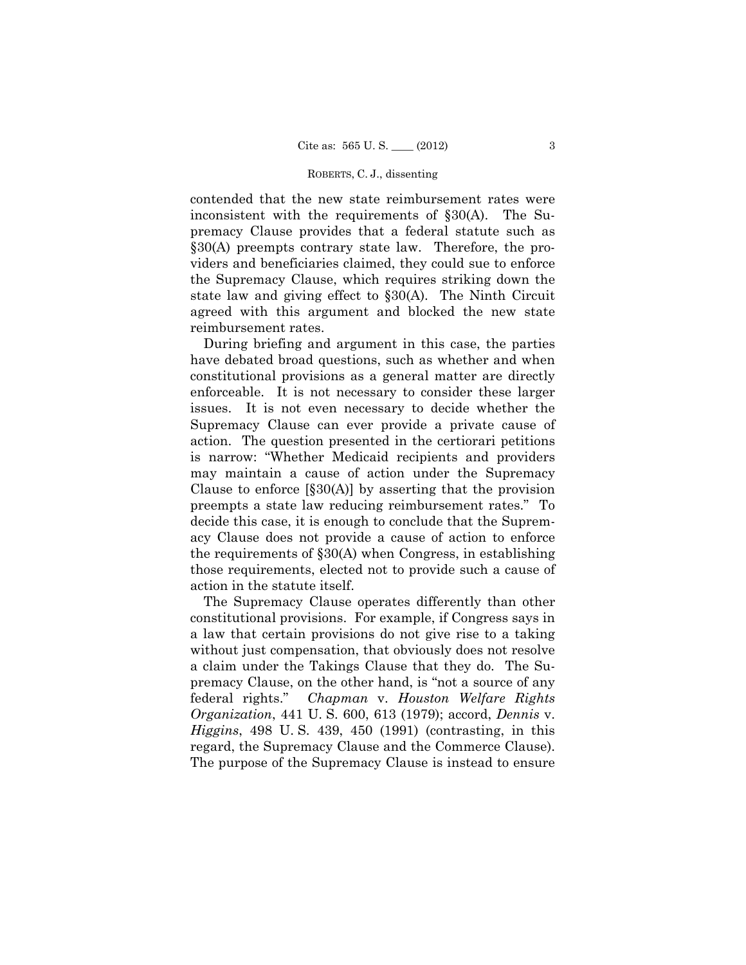contended that the new state reimbursement rates were inconsistent with the requirements of §30(A). The Supremacy Clause provides that a federal statute such as §30(A) preempts contrary state law. Therefore, the providers and beneficiaries claimed, they could sue to enforce the Supremacy Clause, which requires striking down the state law and giving effect to §30(A). The Ninth Circuit agreed with this argument and blocked the new state reimbursement rates.

During briefing and argument in this case, the parties have debated broad questions, such as whether and when constitutional provisions as a general matter are directly enforceable. It is not necessary to consider these larger issues. It is not even necessary to decide whether the Supremacy Clause can ever provide a private cause of action. The question presented in the certiorari petitions is narrow: "Whether Medicaid recipients and providers may maintain a cause of action under the Supremacy Clause to enforce  $[\S 30(A)]$  by asserting that the provision preempts a state law reducing reimbursement rates." To decide this case, it is enough to conclude that the Supremacy Clause does not provide a cause of action to enforce the requirements of §30(A) when Congress, in establishing those requirements, elected not to provide such a cause of action in the statute itself.

The Supremacy Clause operates differently than other constitutional provisions. For example, if Congress says in a law that certain provisions do not give rise to a taking without just compensation, that obviously does not resolve a claim under the Takings Clause that they do. The Supremacy Clause, on the other hand, is "not a source of any federal rights." *Chapman* v. *Houston Welfare Rights Organization*, 441 U. S. 600, 613 (1979); accord, *Dennis* v. *Higgins*, 498 U. S. 439, 450 (1991) (contrasting, in this regard, the Supremacy Clause and the Commerce Clause). The purpose of the Supremacy Clause is instead to ensure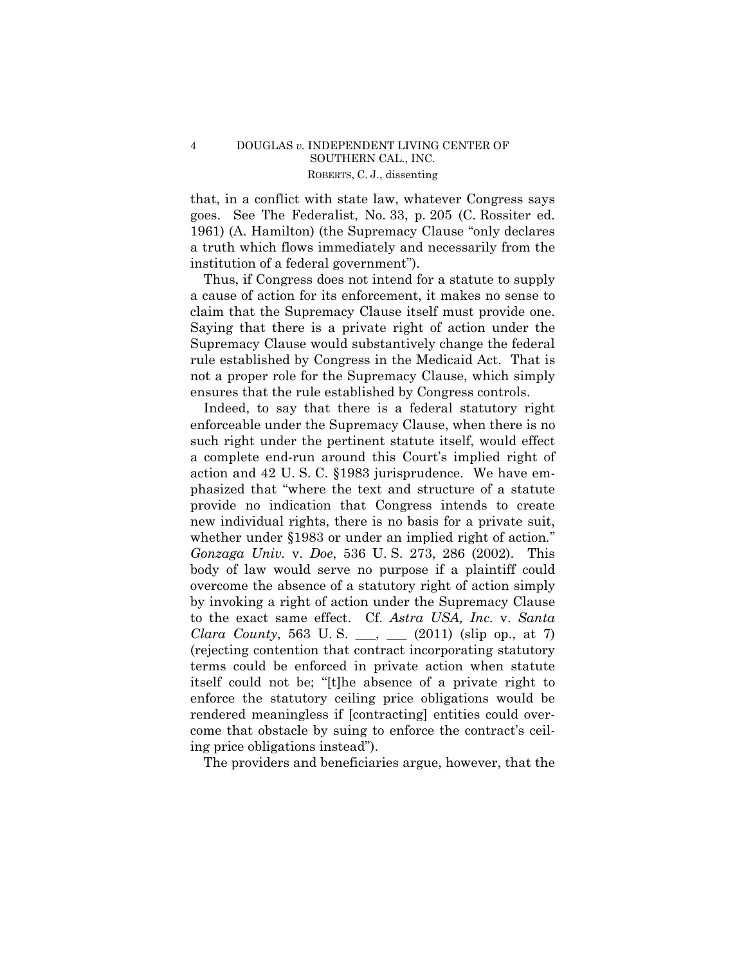### ROBERTS, C. J., dissenting 4 DOUGLAS *v.* INDEPENDENT LIVING CENTER OF SOUTHERN CAL., INC.

that, in a conflict with state law, whatever Congress says goes. See The Federalist, No. 33, p. 205 (C. Rossiter ed. 1961) (A. Hamilton) (the Supremacy Clause "only declares a truth which flows immediately and necessarily from the institution of a federal government").

 claim that the Supremacy Clause itself must provide one. Thus, if Congress does not intend for a statute to supply a cause of action for its enforcement, it makes no sense to Saying that there is a private right of action under the Supremacy Clause would substantively change the federal rule established by Congress in the Medicaid Act. That is not a proper role for the Supremacy Clause, which simply ensures that the rule established by Congress controls.

Indeed, to say that there is a federal statutory right enforceable under the Supremacy Clause, when there is no such right under the pertinent statute itself, would effect a complete end-run around this Court's implied right of action and 42 U. S. C. §1983 jurisprudence. We have emphasized that "where the text and structure of a statute provide no indication that Congress intends to create new individual rights, there is no basis for a private suit, whether under §1983 or under an implied right of action*.*" *Gonzaga Univ.* v. *Doe*, 536 U. S. 273, 286 (2002). This body of law would serve no purpose if a plaintiff could overcome the absence of a statutory right of action simply by invoking a right of action under the Supremacy Clause to the exact same effect. Cf. *Astra USA, Inc.* v. *Santa Clara County*, 563 U.S. \_\_, \_\_ (2011) (slip op., at 7) (rejecting contention that contract incorporating statutory terms could be enforced in private action when statute itself could not be; "[t]he absence of a private right to enforce the statutory ceiling price obligations would be rendered meaningless if [contracting] entities could overcome that obstacle by suing to enforce the contract's ceiling price obligations instead").

The providers and beneficiaries argue, however, that the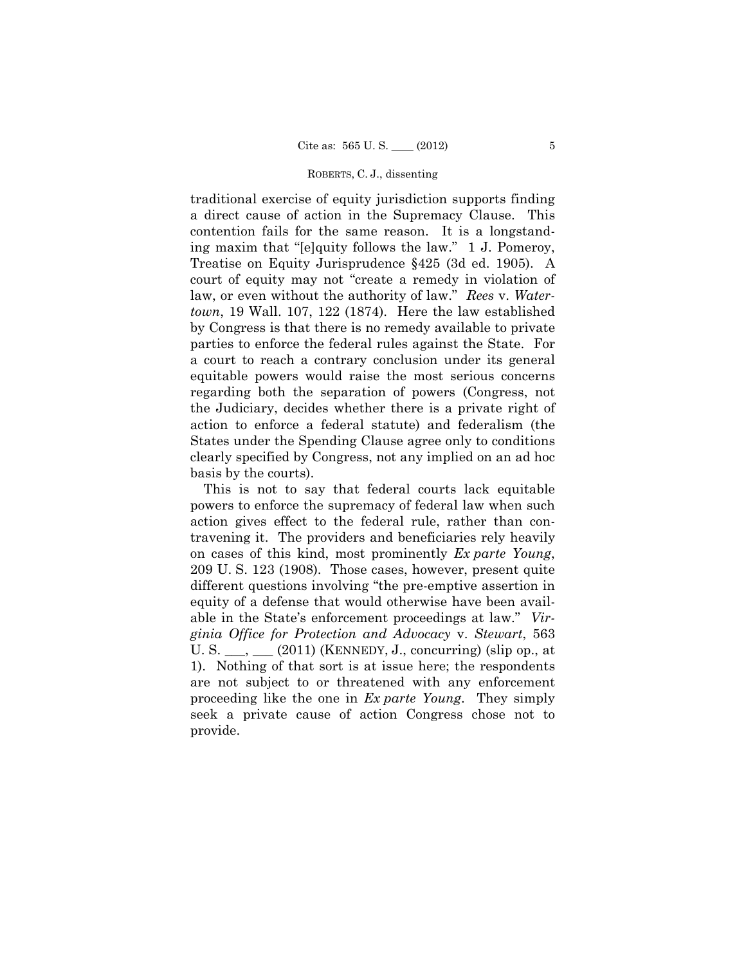traditional exercise of equity jurisdiction supports finding a direct cause of action in the Supremacy Clause. This contention fails for the same reason. It is a longstanding maxim that "[e]quity follows the law." 1 J. Pomeroy, Treatise on Equity Jurisprudence §425 (3d ed. 1905). A court of equity may not "create a remedy in violation of law, or even without the authority of law." *Rees* v. *Watertown*, 19 Wall. 107, 122 (1874). Here the law established by Congress is that there is no remedy available to private parties to enforce the federal rules against the State. For a court to reach a contrary conclusion under its general equitable powers would raise the most serious concerns regarding both the separation of powers (Congress, not the Judiciary, decides whether there is a private right of action to enforce a federal statute) and federalism (the States under the Spending Clause agree only to conditions clearly specified by Congress, not any implied on an ad hoc basis by the courts).

This is not to say that federal courts lack equitable powers to enforce the supremacy of federal law when such action gives effect to the federal rule, rather than contravening it. The providers and beneficiaries rely heavily on cases of this kind, most prominently *Ex parte Young*, 209 U. S. 123 (1908). Those cases, however, present quite different questions involving "the pre-emptive assertion in equity of a defense that would otherwise have been available in the State's enforcement proceedings at law." *Virginia Office for Protection and Advocacy* v. *Stewart*, 563 U. S.  $\_\_\_\_\_\_\_\_\_\$ (2011) (KENNEDY, J., concurring) (slip op., at 1). Nothing of that sort is at issue here; the respondents are not subject to or threatened with any enforcement proceeding like the one in *Ex parte Young*. They simply seek a private cause of action Congress chose not to provide.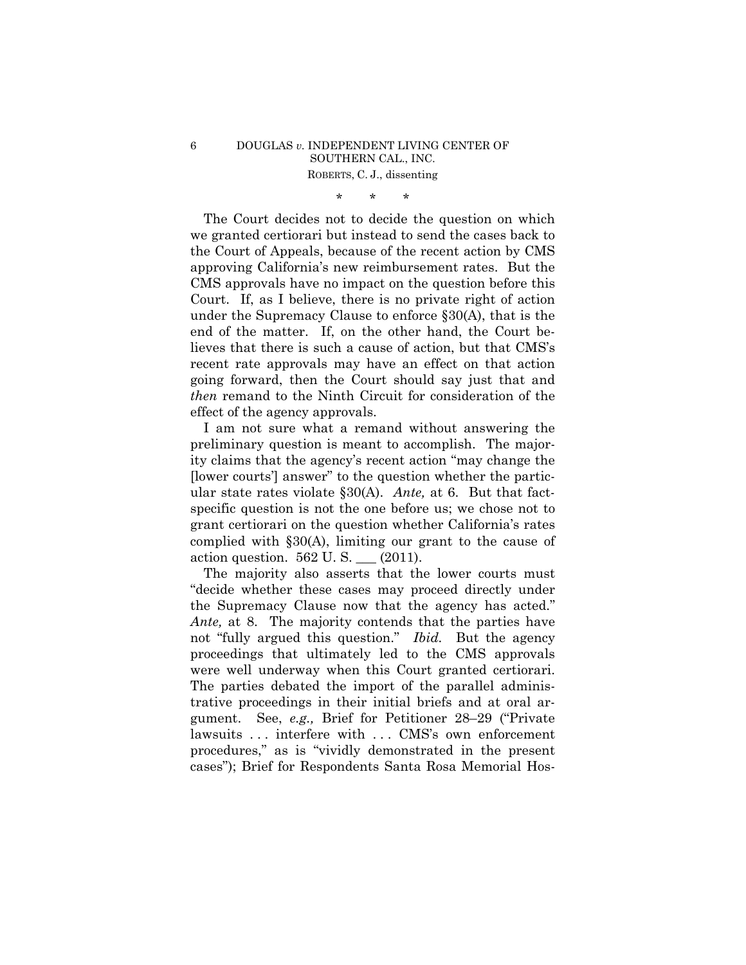# \* \* \*

The Court decides not to decide the question on which we granted certiorari but instead to send the cases back to the Court of Appeals, because of the recent action by CMS approving California's new reimbursement rates. But the CMS approvals have no impact on the question before this Court. If, as I believe, there is no private right of action under the Supremacy Clause to enforce §30(A), that is the end of the matter. If, on the other hand, the Court believes that there is such a cause of action, but that CMS's recent rate approvals may have an effect on that action going forward, then the Court should say just that and *then* remand to the Ninth Circuit for consideration of the effect of the agency approvals.

I am not sure what a remand without answering the preliminary question is meant to accomplish. The majority claims that the agency's recent action "may change the [lower courts'] answer" to the question whether the particular state rates violate §30(A). *Ante,* at 6. But that factspecific question is not the one before us; we chose not to grant certiorari on the question whether California's rates complied with §30(A), limiting our grant to the cause of action question. 562 U. S. \_\_\_ (2011).

 were well underway when this Court granted certiorari. The majority also asserts that the lower courts must "decide whether these cases may proceed directly under the Supremacy Clause now that the agency has acted." *Ante,* at 8. The majority contends that the parties have not "fully argued this question." *Ibid.* But the agency proceedings that ultimately led to the CMS approvals The parties debated the import of the parallel administrative proceedings in their initial briefs and at oral argument. See, *e.g.,* Brief for Petitioner 28–29 ("Private lawsuits ... interfere with ... CMS's own enforcement procedures," as is "vividly demonstrated in the present cases"); Brief for Respondents Santa Rosa Memorial Hos-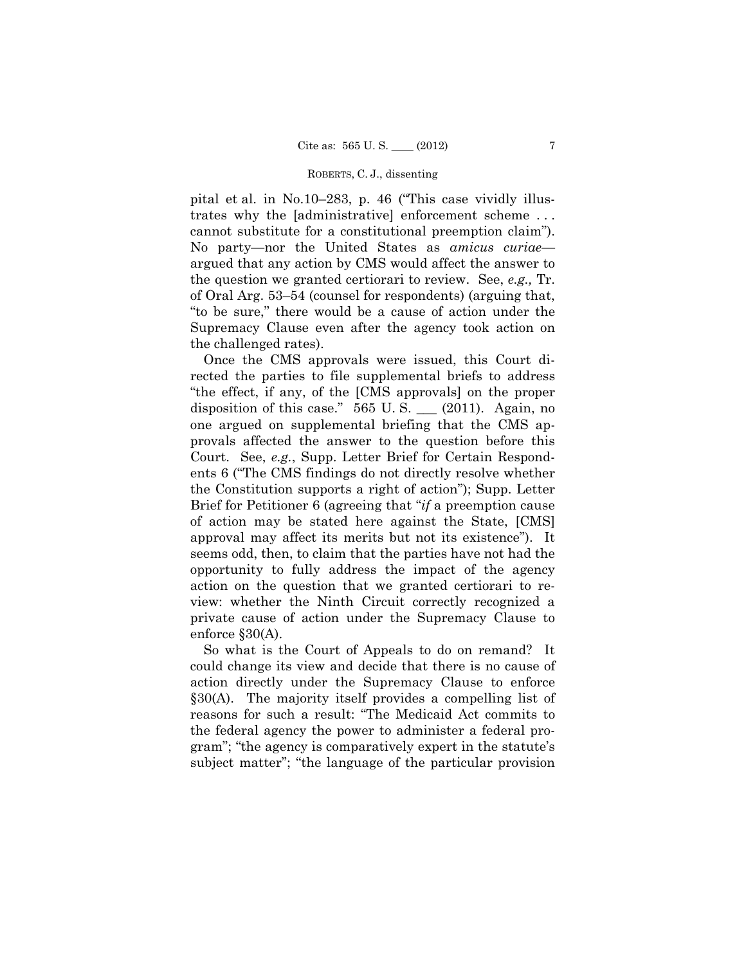cannot substitute for a constitutional preemption claim"). pital et al. in No.10–283, p. 46 ("This case vividly illustrates why the [administrative] enforcement scheme . . . No party—nor the United States as *amicus curiae* argued that any action by CMS would affect the answer to the question we granted certiorari to review. See, *e.g.,* Tr. of Oral Arg. 53–54 (counsel for respondents) (arguing that, "to be sure," there would be a cause of action under the Supremacy Clause even after the agency took action on the challenged rates).

Once the CMS approvals were issued, this Court directed the parties to file supplemental briefs to address "the effect, if any, of the [CMS approvals] on the proper disposition of this case."  $565 \text{ U.S.}$  (2011). Again, no one argued on supplemental briefing that the CMS approvals affected the answer to the question before this Court. See, *e.g.*, Supp. Letter Brief for Certain Respondents 6 ("The CMS findings do not directly resolve whether the Constitution supports a right of action"); Supp. Letter Brief for Petitioner 6 (agreeing that "*if* a preemption cause of action may be stated here against the State, [CMS] approval may affect its merits but not its existence"). It seems odd, then, to claim that the parties have not had the opportunity to fully address the impact of the agency action on the question that we granted certiorari to review: whether the Ninth Circuit correctly recognized a private cause of action under the Supremacy Clause to enforce §30(A).

So what is the Court of Appeals to do on remand? It could change its view and decide that there is no cause of action directly under the Supremacy Clause to enforce §30(A). The majority itself provides a compelling list of reasons for such a result: "The Medicaid Act commits to the federal agency the power to administer a federal program"; "the agency is comparatively expert in the statute's subject matter"; "the language of the particular provision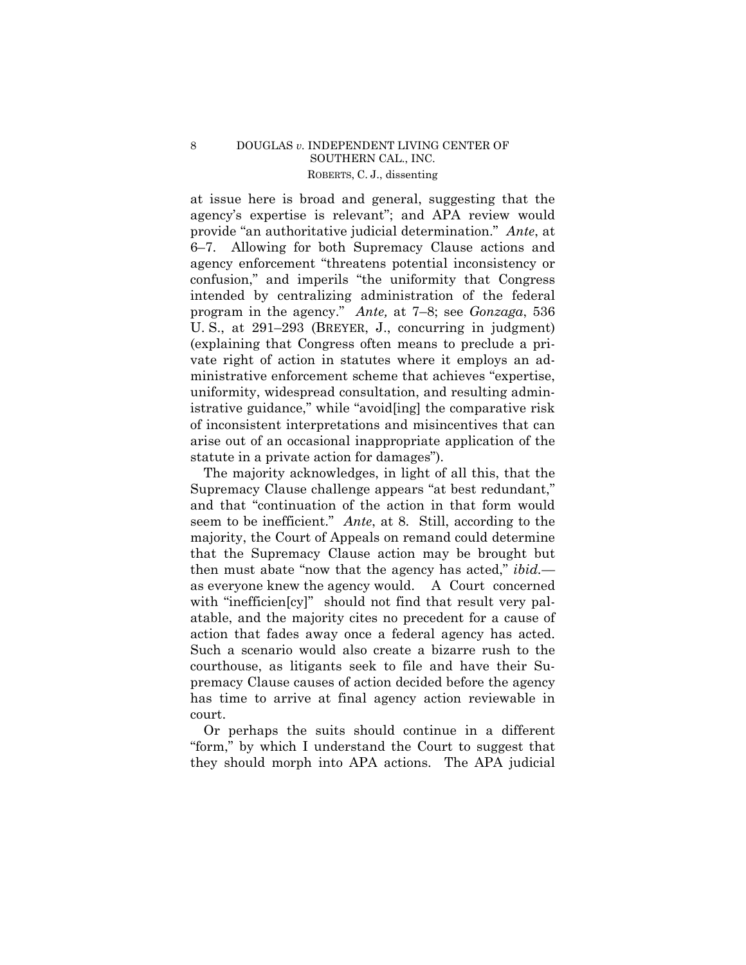### ROBERTS, C. J., dissenting 8 DOUGLAS *v*. INDEPENDENT LIVING CENTER OF SOUTHERN CAL., INC.

at issue here is broad and general, suggesting that the agency's expertise is relevant"; and APA review would provide "an authoritative judicial determination." *Ante*, at 6–7. Allowing for both Supremacy Clause actions and agency enforcement "threatens potential inconsistency or confusion," and imperils "the uniformity that Congress intended by centralizing administration of the federal program in the agency." *Ante,* at 7–8; see *Gonzaga*, 536 U. S., at 291–293 (BREYER, J., concurring in judgment) (explaining that Congress often means to preclude a private right of action in statutes where it employs an administrative enforcement scheme that achieves "expertise, uniformity, widespread consultation, and resulting administrative guidance," while "avoid[ing] the comparative risk of inconsistent interpretations and misincentives that can arise out of an occasional inappropriate application of the statute in a private action for damages").

 action that fades away once a federal agency has acted. The majority acknowledges, in light of all this, that the Supremacy Clause challenge appears "at best redundant," and that "continuation of the action in that form would seem to be inefficient." *Ante*, at 8. Still, according to the majority, the Court of Appeals on remand could determine that the Supremacy Clause action may be brought but then must abate "now that the agency has acted," *ibid.* as everyone knew the agency would. A Court concerned with "inefficien[cy]" should not find that result very palatable, and the majority cites no precedent for a cause of Such a scenario would also create a bizarre rush to the courthouse, as litigants seek to file and have their Supremacy Clause causes of action decided before the agency has time to arrive at final agency action reviewable in court.

Or perhaps the suits should continue in a different "form," by which I understand the Court to suggest that they should morph into APA actions. The APA judicial